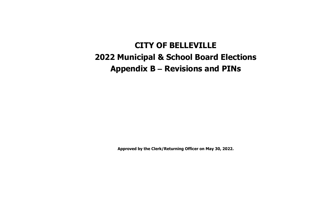## **CITY OF BELLEVILLE 2022 Municipal & School Board Elections Appendix B – Revisions and PINs**

**Approved by the Clerk/Returning Officer on May 30, 2022.**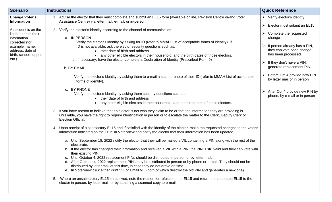| <b>Scenario</b>                                                                                                                                        | <b>Instructions</b>                                                                                                                                                                                                                                                                                                                                                                                                                                                                                                                                                                                                                                                                                                                                                                                                                                                                                                                                                                                                                                                                                                                                                                                                                                                                                                                                                                                                                                                                                                                                                                                                                                                                                                                                                                                                                                                                                                                                                                                                                                                                                                                                                                                                                                                                                                                                                                              | <b>Quick Reference</b>                                                                                                                                                                                                                                                                                          |
|--------------------------------------------------------------------------------------------------------------------------------------------------------|--------------------------------------------------------------------------------------------------------------------------------------------------------------------------------------------------------------------------------------------------------------------------------------------------------------------------------------------------------------------------------------------------------------------------------------------------------------------------------------------------------------------------------------------------------------------------------------------------------------------------------------------------------------------------------------------------------------------------------------------------------------------------------------------------------------------------------------------------------------------------------------------------------------------------------------------------------------------------------------------------------------------------------------------------------------------------------------------------------------------------------------------------------------------------------------------------------------------------------------------------------------------------------------------------------------------------------------------------------------------------------------------------------------------------------------------------------------------------------------------------------------------------------------------------------------------------------------------------------------------------------------------------------------------------------------------------------------------------------------------------------------------------------------------------------------------------------------------------------------------------------------------------------------------------------------------------------------------------------------------------------------------------------------------------------------------------------------------------------------------------------------------------------------------------------------------------------------------------------------------------------------------------------------------------------------------------------------------------------------------------------------------------|-----------------------------------------------------------------------------------------------------------------------------------------------------------------------------------------------------------------------------------------------------------------------------------------------------------------|
| <b>Change Voter's</b><br><b>Information</b>                                                                                                            | 1. Advise the elector that they must complete and submit an EL15 form (available online, Revision Centre or/and Voter<br>Assistance Centre) via letter mail, e-mail, or in-person.                                                                                                                                                                                                                                                                                                                                                                                                                                                                                                                                                                                                                                                                                                                                                                                                                                                                                                                                                                                                                                                                                                                                                                                                                                                                                                                                                                                                                                                                                                                                                                                                                                                                                                                                                                                                                                                                                                                                                                                                                                                                                                                                                                                                               | $\triangleright$ Verify elector's identity<br>Elector must submit an EL15<br>➤                                                                                                                                                                                                                                  |
| A resident is on the<br>list but needs their<br>information<br>corrected (for<br>example: name,<br>address, date of<br>birth, school support,<br>etc.) | 2. Verify the elector's identity according to the channel of communication:<br>a. IN PERSON<br>i. Verify the elector's identity by asking for ID (refer to MMAH List of acceptable forms of identity). If<br>ID is not available, ask the elector security questions such as:<br>their date of birth and address<br>any other eligible electors in their household, and the birth dates of those electors.<br>ii. If necessary, have the elector complete a Declaration of Identity (Prescribed Form 9)<br>b. BY EMAIL<br>i. Verify the elector's identity by asking them to e-mail a scan or photo of their ID (refer to MMAH List of acceptable<br>forms of identity).<br>c. BY PHONE<br>i. Verify the elector's identity by asking them security questions such as:<br>their date of birth and address<br>any other eligible electors in their household, and the birth dates of those electors.<br>3. If you have reason to believe that an elector is not who they claim to be or that the information they are providing is<br>unreliable, you have the right to require identification in person or to escalate the matter to the Clerk, Deputy Clerk or<br><b>Election Official.</b><br>4. Upon receipt of a satisfactory EL15 and if satisfied with the identity of the elector, make the requested changes to the voter's<br>information indicated on the EL15 in VoterView and notify the elector that their information has been updated.<br>a. Until September 18, 2022 notify the elector that they will be mailed a VIL containing a PIN along with the rest of the<br>electorate.<br>b. If the elector has changed their information and received a VIL with a PIN, the PIN is still valid and they can vote with<br>their existing PIN.<br>c. Until October 4, 2022 replacement PINs should be distributed in person or by letter mail.<br>d. After October 4, 2022 replacement PINs may be distributed in person or by phone or e-mail. They should not be<br>distributed by letter mail at this time, in case they do not arrive on time.<br>e. In VoterView click either Print VIL or Email VIL (both of which destroy the old PIN and generates a new one).<br>Where an unsatisfactory EL15 is received, note the reason for refusal on the EL15 and return the annotated EL15 to the<br>5.<br>elector in person, by letter mail, or by attaching a scanned copy to e-mail. | Complete the requested<br>change<br>If person already has a PIN,<br>they can vote once change<br>has been processed.<br>If they don't have a PIN,<br>generate replacement PIN<br>Before Oct 4 provide new PIN<br>by letter mail or in person<br>After Oct 4 provide new PIN by<br>phone, by e-mail or in person |
|                                                                                                                                                        |                                                                                                                                                                                                                                                                                                                                                                                                                                                                                                                                                                                                                                                                                                                                                                                                                                                                                                                                                                                                                                                                                                                                                                                                                                                                                                                                                                                                                                                                                                                                                                                                                                                                                                                                                                                                                                                                                                                                                                                                                                                                                                                                                                                                                                                                                                                                                                                                  |                                                                                                                                                                                                                                                                                                                 |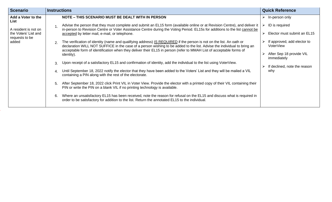| <b>Scenario</b>                        | <b>Instructions</b>                                                                                                                                                                                                                                                                                                                                                                                  | <b>Quick Reference</b>                   |
|----------------------------------------|------------------------------------------------------------------------------------------------------------------------------------------------------------------------------------------------------------------------------------------------------------------------------------------------------------------------------------------------------------------------------------------------------|------------------------------------------|
| Add a Voter to the<br>List             | NOTE - THIS SCENARIO MUST BE DEALT WITH IN PERSON                                                                                                                                                                                                                                                                                                                                                    | In-person only                           |
| A resident is not on                   | Advise the person that they must complete and submit an EL15 form (available online or at Revision Centre), and deliver it<br>in-person to Revision Centre or Voter Assistance Centre during the Voting Period. EL15s for additions to the list cannot be                                                                                                                                            | ID is required                           |
| the Voters' List and<br>requests to be | accepted by letter mail, e-mail, or telephone.                                                                                                                                                                                                                                                                                                                                                       | Elector must submit an EL15              |
| added                                  | The verification of identity (name and qualifying address) IS REQUIRED if the person is not on the list. An oath or<br>$\mathcal{P}_{\mathcal{C}}$<br>declaration WILL NOT SUFFICE in the case of a person wishing to be added to the list. Advise the individual to bring an<br>acceptable form of identification when they deliver their EL15 in person (refer to MMAH List of acceptable forms of | If approved, add elector to<br>VoterView |
|                                        | identity).                                                                                                                                                                                                                                                                                                                                                                                           | After Sep 18 provide VIL<br>immediately  |
|                                        | Upon receipt of a satisfactory EL15 and confirmation of identity, add the individual to the list using VoterView.<br>$\mathcal{B}_{\mathcal{A}}$                                                                                                                                                                                                                                                     | If declined, note the reason             |
|                                        | Until September 18, 2022 notify the elector that they have been added to the Voters' List and they will be mailed a VIL<br>containing a PIN along with the rest of the electorate.                                                                                                                                                                                                                   | why                                      |
|                                        | After September 18, 2022 click Print VIL in Voter View. Provide the elector with a printed copy of their VIL containing their<br>5.<br>PIN or write the PIN on a blank VIL if no printing technology is available.                                                                                                                                                                                   |                                          |
|                                        | Where an unsatisfactory EL15 has been received, note the reason for refusal on the EL15 and discuss what is required in<br>6.<br>order to be satisfactory for addition to the list. Return the annotated EL15 to the individual.                                                                                                                                                                     |                                          |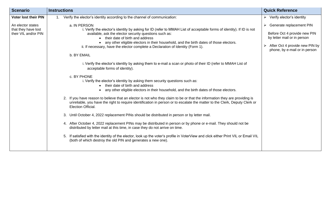| <b>Scenario</b>                                                  | <b>Instructions</b>                                                                                                                                                                                                                                                                                                                                                                                                                                                                                                                                | <b>Quick Reference</b>                                                                                                                                                      |
|------------------------------------------------------------------|----------------------------------------------------------------------------------------------------------------------------------------------------------------------------------------------------------------------------------------------------------------------------------------------------------------------------------------------------------------------------------------------------------------------------------------------------------------------------------------------------------------------------------------------------|-----------------------------------------------------------------------------------------------------------------------------------------------------------------------------|
| <b>Voter lost their PIN</b>                                      | Verify the elector's identity according to the channel of communication:                                                                                                                                                                                                                                                                                                                                                                                                                                                                           | $\triangleright$ Verify elector's identity                                                                                                                                  |
| An elector states<br>that they have lost<br>their VIL and/or PIN | a. IN PERSON<br>i. Verify the elector's identity by asking for ID (refer to MMAH List of acceptable forms of identity). If ID is not<br>available, ask the elector security questions such as:<br>their date of birth and address<br>any other eligible electors in their household, and the birth dates of those electors.<br>ii. If necessary, have the elector complete a Declaration of Identity (Form 1).<br>b. BY EMAIL<br>i. Verify the elector's identity by asking them to e-mail a scan or photo of their ID (refer to MMAH List of      | $\triangleright$ Generate replacement PIN<br>Before Oct 4 provide new PIN<br>by letter mail or in person<br>After Oct 4 provide new PIN by<br>phone, by e-mail or in person |
|                                                                  | acceptable forms of identity).<br>c. BY PHONE<br>i. Verify the elector's identity by asking them security questions such as:<br>their date of birth and address<br>any other eligible electors in their household, and the birth dates of those electors.<br>2. If you have reason to believe that an elector is not who they claim to be or that the information they are providing is<br>unreliable, you have the right to require identification in person or to escalate the matter to the Clerk, Deputy Clerk or<br><b>Election Official.</b> |                                                                                                                                                                             |
|                                                                  | Until October 4, 2022 replacement PINs should be distributed in person or by letter mail.<br>3.<br>4. After October 4, 2022 replacement PINs may be distributed in person or by phone or e-mail. They should not be<br>distributed by letter mail at this time, in case they do not arrive on time.<br>If satisfied with the identity of the elector, look up the voter's profile in VoterView and click either Print VIL or Email VIL<br>5.<br>(both of which destroy the old PIN and generates a new one).                                       |                                                                                                                                                                             |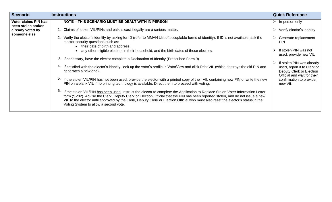| <b>Scenario</b>                                   | <b>Instructions</b>                                                                                                                                                                                                                                                                                                                                                                                                                                    | <b>Quick Reference</b>                                                                 |
|---------------------------------------------------|--------------------------------------------------------------------------------------------------------------------------------------------------------------------------------------------------------------------------------------------------------------------------------------------------------------------------------------------------------------------------------------------------------------------------------------------------------|----------------------------------------------------------------------------------------|
| <b>Voter claims PIN has</b><br>been stolen and/or | NOTE - THIS SCENARIO MUST BE DEALT WITH IN PERSON                                                                                                                                                                                                                                                                                                                                                                                                      | In-person only<br>➤                                                                    |
| already voted by<br>someone else                  | 1. Claims of stolen VIL/PINs and ballots cast illegally are a serious matter.                                                                                                                                                                                                                                                                                                                                                                          | Verify elector's identity<br>➤                                                         |
|                                                   | 2. Verify the elector's identity by asking for ID (refer to MMAH List of acceptable forms of identity). If ID is not available, ask the<br>elector security questions such as:<br>• their date of birth and address                                                                                                                                                                                                                                    | Generate replacement<br><b>PIN</b>                                                     |
|                                                   | any other eligible electors in their household, and the birth dates of those electors.                                                                                                                                                                                                                                                                                                                                                                 | If stolen PIN was not<br>➤<br>used, provide new VIL                                    |
|                                                   | 3.<br>If necessary, have the elector complete a Declaration of Identity (Prescribed Form 9).                                                                                                                                                                                                                                                                                                                                                           | If stolen PIN was already<br>➤                                                         |
|                                                   | If satisfied with the elector's identity, look up the voter's profile in VoterView and click Print VIL (which destroys the old PIN and<br>4.<br>generates a new one).                                                                                                                                                                                                                                                                                  | used, report it to Clerk or<br>Deputy Clerk or Election<br>Official and wait for their |
|                                                   | 5.<br>If the stolen VIL/PIN has not been used, provide the elector with a printed copy of their VIL containing new PIN or write the new<br>PIN on a blank VIL if no printing technology is available. Direct them to proceed with voting.                                                                                                                                                                                                              | confirmation to provide<br>new VIL                                                     |
|                                                   | 6.<br>If the stolen VIL/PIN has been used, instruct the elector to complete the Application to Replace Stolen Voter Information Letter<br>form (SV02). Advise the Clerk, Deputy Clerk or Election Official that the PIN has been reported stolen, and do not issue a new<br>VIL to the elector until approved by the Clerk, Deputy Clerk or Election Official who must also reset the elector's status in the<br>Voting System to allow a second vote. |                                                                                        |